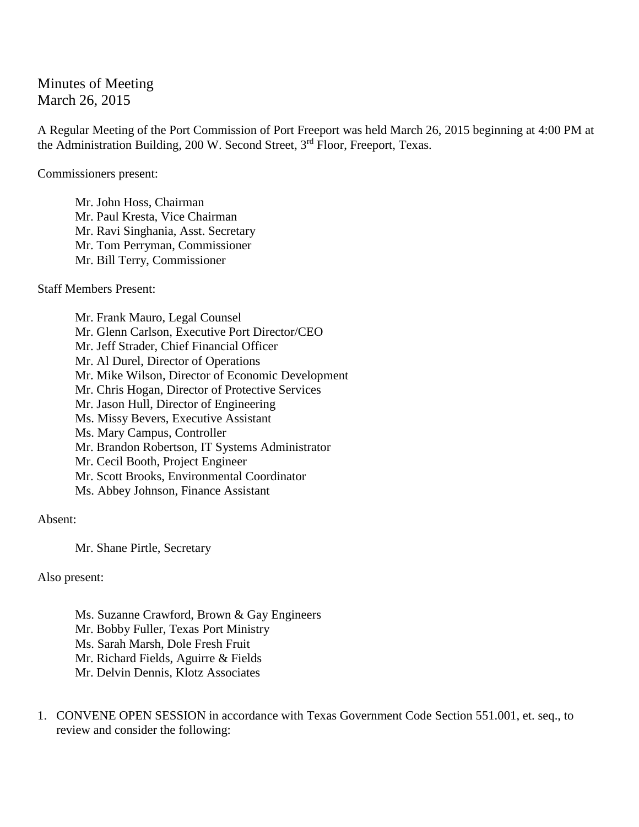## Minutes of Meeting March 26, 2015

A Regular Meeting of the Port Commission of Port Freeport was held March 26, 2015 beginning at 4:00 PM at the Administration Building, 200 W. Second Street, 3rd Floor, Freeport, Texas.

Commissioners present:

Mr. John Hoss, Chairman Mr. Paul Kresta, Vice Chairman Mr. Ravi Singhania, Asst. Secretary Mr. Tom Perryman, Commissioner Mr. Bill Terry, Commissioner

Staff Members Present:

Mr. Frank Mauro, Legal Counsel Mr. Glenn Carlson, Executive Port Director/CEO Mr. Jeff Strader, Chief Financial Officer Mr. Al Durel, Director of Operations Mr. Mike Wilson, Director of Economic Development Mr. Chris Hogan, Director of Protective Services Mr. Jason Hull, Director of Engineering Ms. Missy Bevers, Executive Assistant Ms. Mary Campus, Controller Mr. Brandon Robertson, IT Systems Administrator Mr. Cecil Booth, Project Engineer Mr. Scott Brooks, Environmental Coordinator Ms. Abbey Johnson, Finance Assistant

Absent:

Mr. Shane Pirtle, Secretary

Also present:

Ms. Suzanne Crawford, Brown & Gay Engineers Mr. Bobby Fuller, Texas Port Ministry Ms. Sarah Marsh, Dole Fresh Fruit Mr. Richard Fields, Aguirre & Fields Mr. Delvin Dennis, Klotz Associates

1. CONVENE OPEN SESSION in accordance with Texas Government Code Section 551.001, et. seq., to review and consider the following: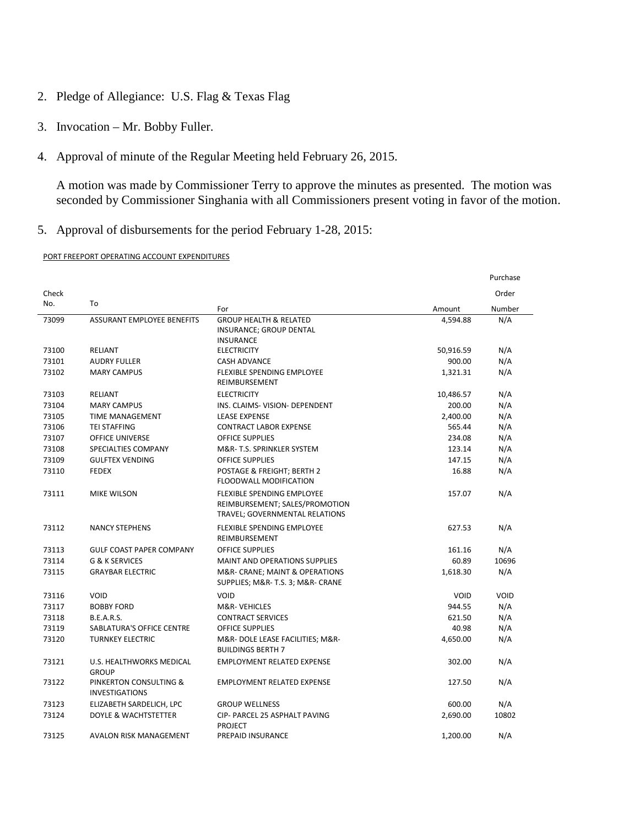- 2. Pledge of Allegiance: U.S. Flag & Texas Flag
- 3. Invocation Mr. Bobby Fuller.
- 4. Approval of minute of the Regular Meeting held February 26, 2015.

A motion was made by Commissioner Terry to approve the minutes as presented. The motion was seconded by Commissioner Singhania with all Commissioners present voting in favor of the motion.

5. Approval of disbursements for the period February 1-28, 2015:

## PORT FREEPORT OPERATING ACCOUNT EXPENDITURES

|       |                                                 |                                                                                                       |             | Purchase    |
|-------|-------------------------------------------------|-------------------------------------------------------------------------------------------------------|-------------|-------------|
| Check |                                                 |                                                                                                       |             | Order       |
| No.   | To                                              | For                                                                                                   | Amount      | Number      |
| 73099 | ASSURANT EMPLOYEE BENEFITS                      | <b>GROUP HEALTH &amp; RELATED</b>                                                                     | 4,594.88    | N/A         |
|       |                                                 | INSURANCE; GROUP DENTAL                                                                               |             |             |
|       |                                                 | <b>INSURANCE</b>                                                                                      |             |             |
| 73100 | <b>RELIANT</b>                                  | <b>ELECTRICITY</b>                                                                                    | 50,916.59   | N/A         |
| 73101 | <b>AUDRY FULLER</b>                             | <b>CASH ADVANCE</b>                                                                                   | 900.00      | N/A         |
| 73102 | <b>MARY CAMPUS</b>                              | <b>FLEXIBLE SPENDING EMPLOYEE</b><br>REIMBURSEMENT                                                    | 1,321.31    | N/A         |
| 73103 | RELIANT                                         | <b>ELECTRICITY</b>                                                                                    | 10,486.57   | N/A         |
| 73104 | <b>MARY CAMPUS</b>                              | INS. CLAIMS- VISION- DEPENDENT                                                                        | 200.00      | N/A         |
| 73105 | <b>TIME MANAGEMENT</b>                          | <b>LEASE EXPENSE</b>                                                                                  | 2,400.00    | N/A         |
| 73106 | <b>TEI STAFFING</b>                             | <b>CONTRACT LABOR EXPENSE</b>                                                                         | 565.44      | N/A         |
| 73107 | <b>OFFICE UNIVERSE</b>                          | <b>OFFICE SUPPLIES</b>                                                                                | 234.08      | N/A         |
| 73108 | SPECIALTIES COMPANY                             | M&R-T.S. SPRINKLER SYSTEM                                                                             | 123.14      | N/A         |
| 73109 | <b>GULFTEX VENDING</b>                          | <b>OFFICE SUPPLIES</b>                                                                                | 147.15      | N/A         |
| 73110 | <b>FEDEX</b>                                    | POSTAGE & FREIGHT; BERTH 2<br>FLOODWALL MODIFICATION                                                  | 16.88       | N/A         |
| 73111 | <b>MIKE WILSON</b>                              | <b>FLEXIBLE SPENDING EMPLOYEE</b><br>REIMBURSEMENT; SALES/PROMOTION<br>TRAVEL; GOVERNMENTAL RELATIONS | 157.07      | N/A         |
| 73112 | <b>NANCY STEPHENS</b>                           | FLEXIBLE SPENDING EMPLOYEE<br>REIMBURSEMENT                                                           | 627.53      | N/A         |
| 73113 | <b>GULF COAST PAPER COMPANY</b>                 | <b>OFFICE SUPPLIES</b>                                                                                | 161.16      | N/A         |
| 73114 | G & K SERVICES                                  | <b>MAINT AND OPERATIONS SUPPLIES</b>                                                                  | 60.89       | 10696       |
| 73115 | <b>GRAYBAR ELECTRIC</b>                         | M&R- CRANE; MAINT & OPERATIONS<br>SUPPLIES; M&R- T.S. 3; M&R- CRANE                                   | 1,618.30    | N/A         |
| 73116 | <b>VOID</b>                                     | <b>VOID</b>                                                                                           | <b>VOID</b> | <b>VOID</b> |
| 73117 | <b>BOBBY FORD</b>                               | M&R-VEHICLES                                                                                          | 944.55      | N/A         |
| 73118 | <b>B.E.A.R.S.</b>                               | <b>CONTRACT SERVICES</b>                                                                              | 621.50      | N/A         |
| 73119 | <b>SABLATURA'S OFFICE CENTRE</b>                | <b>OFFICE SUPPLIES</b>                                                                                | 40.98       | N/A         |
| 73120 | <b>TURNKEY ELECTRIC</b>                         | M&R-DOLE LEASE FACILITIES; M&R-<br><b>BUILDINGS BERTH 7</b>                                           | 4,650.00    | N/A         |
| 73121 | U.S. HEALTHWORKS MEDICAL<br><b>GROUP</b>        | <b>EMPLOYMENT RELATED EXPENSE</b>                                                                     | 302.00      | N/A         |
| 73122 | PINKERTON CONSULTING &<br><b>INVESTIGATIONS</b> | <b>EMPLOYMENT RELATED EXPENSE</b>                                                                     | 127.50      | N/A         |
| 73123 | ELIZABETH SARDELICH, LPC                        | <b>GROUP WELLNESS</b>                                                                                 | 600.00      | N/A         |
| 73124 | DOYLE & WACHTSTETTER                            | CIP- PARCEL 25 ASPHALT PAVING<br><b>PROJECT</b>                                                       | 2,690.00    | 10802       |
| 73125 | AVALON RISK MANAGEMENT                          | PREPAID INSURANCE                                                                                     | 1,200.00    | N/A         |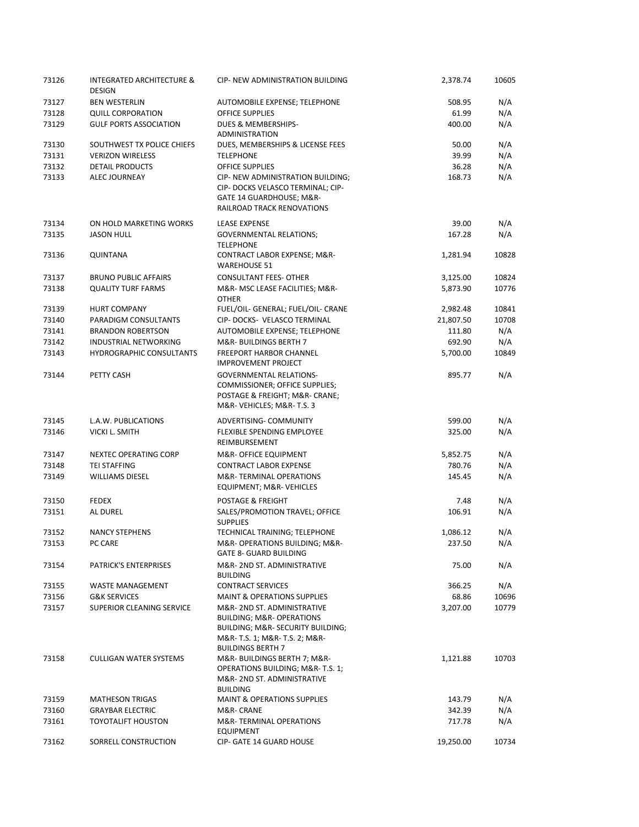| 73126 | <b>INTEGRATED ARCHITECTURE &amp;</b><br><b>DESIGN</b> | CIP- NEW ADMINISTRATION BUILDING                                                                                                                                      | 2,378.74  | 10605 |
|-------|-------------------------------------------------------|-----------------------------------------------------------------------------------------------------------------------------------------------------------------------|-----------|-------|
| 73127 | <b>BEN WESTERLIN</b>                                  | AUTOMOBILE EXPENSE; TELEPHONE                                                                                                                                         | 508.95    | N/A   |
| 73128 | <b>QUILL CORPORATION</b>                              | <b>OFFICE SUPPLIES</b>                                                                                                                                                | 61.99     | N/A   |
| 73129 | <b>GULF PORTS ASSOCIATION</b>                         | DUES & MEMBERSHIPS-<br><b>ADMINISTRATION</b>                                                                                                                          | 400.00    | N/A   |
| 73130 | SOUTHWEST TX POLICE CHIEFS                            | DUES, MEMBERSHIPS & LICENSE FEES                                                                                                                                      | 50.00     | N/A   |
| 73131 | <b>VERIZON WIRELESS</b>                               | <b>TELEPHONE</b>                                                                                                                                                      | 39.99     | N/A   |
| 73132 | <b>DETAIL PRODUCTS</b>                                | <b>OFFICE SUPPLIES</b>                                                                                                                                                | 36.28     | N/A   |
| 73133 | <b>ALEC JOURNEAY</b>                                  | CIP- NEW ADMINISTRATION BUILDING;<br>CIP- DOCKS VELASCO TERMINAL; CIP-<br>GATE 14 GUARDHOUSE; M&R-<br><b>RAILROAD TRACK RENOVATIONS</b>                               | 168.73    | N/A   |
| 73134 | ON HOLD MARKETING WORKS                               | <b>LEASE EXPENSE</b>                                                                                                                                                  | 39.00     | N/A   |
| 73135 | <b>JASON HULL</b>                                     | <b>GOVERNMENTAL RELATIONS;</b><br><b>TELEPHONE</b>                                                                                                                    | 167.28    | N/A   |
| 73136 | <b>QUINTANA</b>                                       | CONTRACT LABOR EXPENSE; M&R-<br><b>WAREHOUSE 51</b>                                                                                                                   | 1,281.94  | 10828 |
| 73137 | <b>BRUNO PUBLIC AFFAIRS</b>                           | <b>CONSULTANT FEES- OTHER</b>                                                                                                                                         | 3,125.00  | 10824 |
| 73138 | <b>QUALITY TURF FARMS</b>                             | M&R- MSC LEASE FACILITIES; M&R-<br><b>OTHER</b>                                                                                                                       | 5,873.90  | 10776 |
| 73139 | <b>HURT COMPANY</b>                                   | FUEL/OIL- GENERAL; FUEL/OIL- CRANE                                                                                                                                    | 2,982.48  | 10841 |
| 73140 | PARADIGM CONSULTANTS                                  | CIP-DOCKS- VELASCO TERMINAL                                                                                                                                           | 21,807.50 | 10708 |
| 73141 | <b>BRANDON ROBERTSON</b>                              | AUTOMOBILE EXPENSE; TELEPHONE                                                                                                                                         | 111.80    | N/A   |
| 73142 | INDUSTRIAL NETWORKING                                 | M&R-BUILDINGS BERTH 7                                                                                                                                                 | 692.90    | N/A   |
| 73143 | <b>HYDROGRAPHIC CONSULTANTS</b>                       | <b>FREEPORT HARBOR CHANNEL</b><br><b>IMPROVEMENT PROJECT</b>                                                                                                          | 5,700.00  | 10849 |
| 73144 | PETTY CASH                                            | <b>GOVERNMENTAL RELATIONS-</b><br>COMMISSIONER; OFFICE SUPPLIES;<br>POSTAGE & FREIGHT; M&R- CRANE;<br>M&R-VEHICLES M&R-T.S. 3                                         | 895.77    | N/A   |
| 73145 | L.A.W. PUBLICATIONS                                   | ADVERTISING- COMMUNITY                                                                                                                                                | 599.00    | N/A   |
| 73146 | <b>VICKI L. SMITH</b>                                 | FLEXIBLE SPENDING EMPLOYEE<br>REIMBURSEMENT                                                                                                                           | 325.00    | N/A   |
| 73147 | <b>NEXTEC OPERATING CORP</b>                          | M&R- OFFICE EQUIPMENT                                                                                                                                                 | 5,852.75  | N/A   |
| 73148 | <b>TEI STAFFING</b>                                   | <b>CONTRACT LABOR EXPENSE</b>                                                                                                                                         | 780.76    | N/A   |
| 73149 | <b>WILLIAMS DIESEL</b>                                | M&R-TERMINAL OPERATIONS<br>EQUIPMENT; M&R-VEHICLES                                                                                                                    | 145.45    | N/A   |
| 73150 | <b>FEDEX</b>                                          | POSTAGE & FREIGHT                                                                                                                                                     | 7.48      | N/A   |
| 73151 | AL DUREL                                              | SALES/PROMOTION TRAVEL; OFFICE<br><b>SUPPLIES</b>                                                                                                                     | 106.91    | N/A   |
| 73152 | <b>NANCY STEPHENS</b>                                 | TECHNICAL TRAINING; TELEPHONE                                                                                                                                         | 1,086.12  | N/A   |
| 73153 | PC CARE                                               | M&R- OPERATIONS BUILDING; M&R-<br><b>GATE 8- GUARD BUILDING</b>                                                                                                       | 237.50    | N/A   |
| 73154 | PATRICK'S ENTERPRISES                                 | M&R-2ND ST. ADMINISTRATIVE<br><b>BUILDING</b>                                                                                                                         | 75.00     | N/A   |
| 73155 | <b>WASTE MANAGEMENT</b>                               | <b>CONTRACT SERVICES</b>                                                                                                                                              | 366.25    | N/A   |
| 73156 | <b>G&amp;K SERVICES</b>                               | <b>MAINT &amp; OPERATIONS SUPPLIES</b>                                                                                                                                | 68.86     | 10696 |
| 73157 | SUPERIOR CLEANING SERVICE                             | M&R-2ND ST. ADMINISTRATIVE<br><b>BUILDING; M&amp;R- OPERATIONS</b><br>BUILDING; M&R- SECURITY BUILDING;<br>M&R- T.S. 1; M&R- T.S. 2; M&R-<br><b>BUILDINGS BERTH 7</b> | 3,207.00  | 10779 |
| 73158 | <b>CULLIGAN WATER SYSTEMS</b>                         | M&R-BUILDINGS BERTH 7; M&R-<br><b>OPERATIONS BUILDING; M&amp;R-T.S. 1;</b><br>M&R-2ND ST. ADMINISTRATIVE<br><b>BUILDING</b>                                           | 1,121.88  | 10703 |
| 73159 | <b>MATHESON TRIGAS</b>                                | <b>MAINT &amp; OPERATIONS SUPPLIES</b>                                                                                                                                | 143.79    | N/A   |
| 73160 | <b>GRAYBAR ELECTRIC</b>                               | M&R- CRANE                                                                                                                                                            | 342.39    | N/A   |
| 73161 | <b>TOYOTALIFT HOUSTON</b>                             | M&R-TERMINAL OPERATIONS<br><b>EQUIPMENT</b>                                                                                                                           | 717.78    | N/A   |
| 73162 | SORRELL CONSTRUCTION                                  | <b>CIP- GATE 14 GUARD HOUSE</b>                                                                                                                                       | 19,250.00 | 10734 |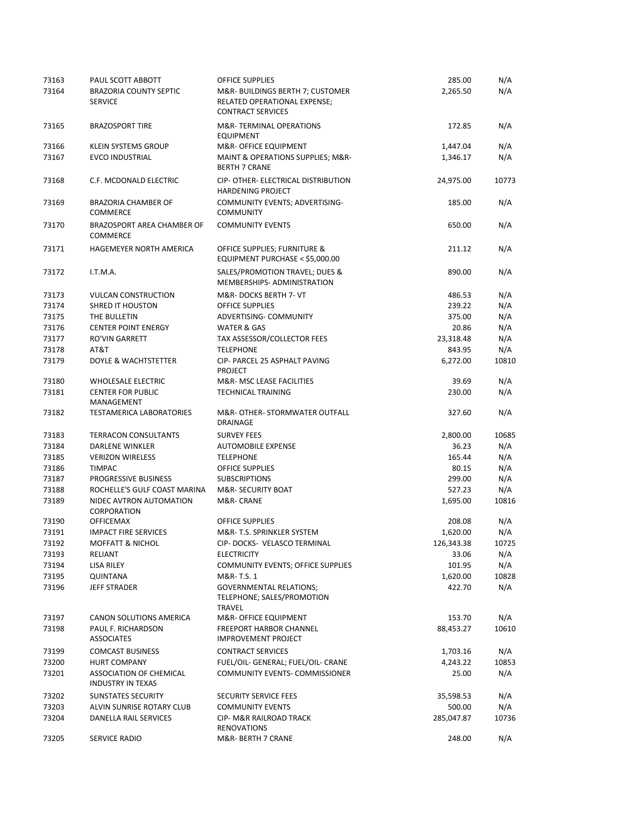| 73163 | PAUL SCOTT ABBOTT                                          | <b>OFFICE SUPPLIES</b>                                                                      | 285.00     | N/A   |
|-------|------------------------------------------------------------|---------------------------------------------------------------------------------------------|------------|-------|
| 73164 | <b>BRAZORIA COUNTY SEPTIC</b><br><b>SERVICE</b>            | M&R-BUILDINGS BERTH 7; CUSTOMER<br>RELATED OPERATIONAL EXPENSE;<br><b>CONTRACT SERVICES</b> | 2,265.50   | N/A   |
| 73165 | <b>BRAZOSPORT TIRE</b>                                     | M&R-TERMINAL OPERATIONS<br><b>EQUIPMENT</b>                                                 | 172.85     | N/A   |
| 73166 | <b>KLEIN SYSTEMS GROUP</b>                                 | M&R- OFFICE EQUIPMENT                                                                       | 1,447.04   | N/A   |
| 73167 | <b>EVCO INDUSTRIAL</b>                                     | MAINT & OPERATIONS SUPPLIES; M&R-<br><b>BERTH 7 CRANE</b>                                   | 1,346.17   | N/A   |
| 73168 | C.F. MCDONALD ELECTRIC                                     | CIP- OTHER- ELECTRICAL DISTRIBUTION<br><b>HARDENING PROJECT</b>                             | 24,975.00  | 10773 |
| 73169 | <b>BRAZORIA CHAMBER OF</b><br><b>COMMERCE</b>              | COMMUNITY EVENTS; ADVERTISING-<br><b>COMMUNITY</b>                                          | 185.00     | N/A   |
| 73170 | BRAZOSPORT AREA CHAMBER OF<br><b>COMMERCE</b>              | <b>COMMUNITY EVENTS</b>                                                                     | 650.00     | N/A   |
| 73171 | HAGEMEYER NORTH AMERICA                                    | OFFICE SUPPLIES; FURNITURE &<br>EQUIPMENT PURCHASE < \$5,000.00                             | 211.12     | N/A   |
| 73172 | I.T.M.A.                                                   | SALES/PROMOTION TRAVEL; DUES &<br>MEMBERSHIPS- ADMINISTRATION                               | 890.00     | N/A   |
| 73173 | <b>VULCAN CONSTRUCTION</b>                                 | M&R-DOCKS BERTH 7- VT                                                                       | 486.53     | N/A   |
| 73174 | <b>SHRED IT HOUSTON</b>                                    | <b>OFFICE SUPPLIES</b>                                                                      | 239.22     | N/A   |
| 73175 | THE BULLETIN                                               | ADVERTISING- COMMUNITY                                                                      | 375.00     | N/A   |
| 73176 | <b>CENTER POINT ENERGY</b>                                 | <b>WATER &amp; GAS</b>                                                                      | 20.86      | N/A   |
| 73177 | <b>RO'VIN GARRETT</b>                                      | TAX ASSESSOR/COLLECTOR FEES                                                                 | 23,318.48  | N/A   |
| 73178 | AT&T                                                       | <b>TELEPHONE</b>                                                                            | 843.95     | N/A   |
| 73179 | DOYLE & WACHTSTETTER                                       | CIP- PARCEL 25 ASPHALT PAVING<br><b>PROJECT</b>                                             | 6,272.00   | 10810 |
| 73180 | <b>WHOLESALE ELECTRIC</b>                                  | M&R- MSC LEASE FACILITIES                                                                   | 39.69      | N/A   |
| 73181 | <b>CENTER FOR PUBLIC</b><br>MANAGEMENT                     | <b>TECHNICAL TRAINING</b>                                                                   | 230.00     | N/A   |
| 73182 | <b>TESTAMERICA LABORATORIES</b>                            | M&R- OTHER- STORMWATER OUTFALL<br>DRAINAGE                                                  | 327.60     | N/A   |
| 73183 | <b>TERRACON CONSULTANTS</b>                                | <b>SURVEY FEES</b>                                                                          | 2,800.00   | 10685 |
| 73184 | DARLENE WINKLER                                            | <b>AUTOMOBILE EXPENSE</b>                                                                   | 36.23      | N/A   |
| 73185 | <b>VERIZON WIRELESS</b>                                    | <b>TELEPHONE</b>                                                                            | 165.44     | N/A   |
| 73186 | <b>TIMPAC</b>                                              | <b>OFFICE SUPPLIES</b>                                                                      | 80.15      | N/A   |
| 73187 | PROGRESSIVE BUSINESS                                       | <b>SUBSCRIPTIONS</b>                                                                        | 299.00     | N/A   |
| 73188 | ROCHELLE'S GULF COAST MARINA                               | M&R- SECURITY BOAT                                                                          | 527.23     | N/A   |
| 73189 | NIDEC AVTRON AUTOMATION<br><b>CORPORATION</b>              | M&R-CRANE                                                                                   | 1,695.00   | 10816 |
| 73190 | <b>OFFICEMAX</b>                                           | <b>OFFICE SUPPLIES</b>                                                                      | 208.08     | N/A   |
| 73191 | <b>IMPACT FIRE SERVICES</b>                                | M&R-T.S. SPRINKLER SYSTEM                                                                   | 1,620.00   | N/A   |
| 73192 | MOFFATT & NICHOL                                           | CIP- DOCKS- VELASCO TERMINAL                                                                | 126,343.38 | 10725 |
| 73193 | RELIANT                                                    | <b>ELECTRICITY</b>                                                                          | 33.06      | N/A   |
| 73194 | <b>LISA RILEY</b>                                          | COMMUNITY EVENTS; OFFICE SUPPLIES                                                           | 101.95     | N/A   |
| 73195 | QUINTANA                                                   | M&R-T.S. 1                                                                                  | 1,620.00   | 10828 |
| 73196 | <b>JEFF STRADER</b>                                        | <b>GOVERNMENTAL RELATIONS;</b><br>TELEPHONE; SALES/PROMOTION<br>TRAVEL                      | 422.70     | N/A   |
| 73197 | CANON SOLUTIONS AMERICA                                    | M&R- OFFICE EQUIPMENT                                                                       | 153.70     | N/A   |
| 73198 | PAUL F. RICHARDSON                                         | <b>FREEPORT HARBOR CHANNEL</b>                                                              | 88,453.27  | 10610 |
|       | <b>ASSOCIATES</b>                                          | <b>IMPROVEMENT PROJECT</b>                                                                  |            |       |
| 73199 | <b>COMCAST BUSINESS</b>                                    | <b>CONTRACT SERVICES</b>                                                                    | 1,703.16   | N/A   |
| 73200 | <b>HURT COMPANY</b>                                        | FUEL/OIL- GENERAL; FUEL/OIL- CRANE                                                          | 4,243.22   | 10853 |
| 73201 | <b>ASSOCIATION OF CHEMICAL</b><br><b>INDUSTRY IN TEXAS</b> | COMMUNITY EVENTS- COMMISSIONER                                                              | 25.00      | N/A   |
| 73202 | <b>SUNSTATES SECURITY</b>                                  | <b>SECURITY SERVICE FEES</b>                                                                | 35,598.53  | N/A   |
| 73203 | ALVIN SUNRISE ROTARY CLUB                                  | <b>COMMUNITY EVENTS</b>                                                                     | 500.00     | N/A   |
| 73204 | DANELLA RAIL SERVICES                                      | CIP- M&R RAILROAD TRACK<br><b>RENOVATIONS</b>                                               | 285,047.87 | 10736 |
| 73205 | SERVICE RADIO                                              | M&R- BERTH 7 CRANE                                                                          | 248.00     | N/A   |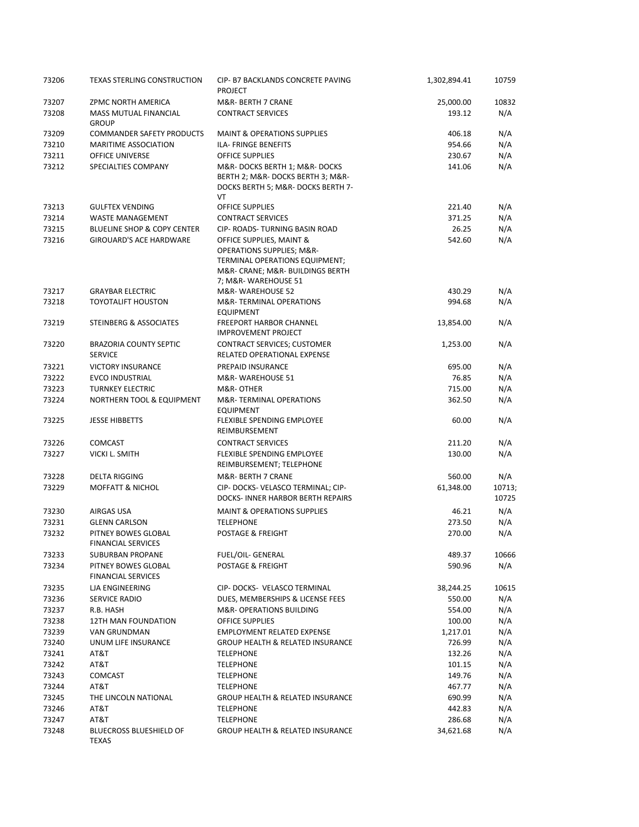| 73206 | <b>TEXAS STERLING CONSTRUCTION</b>               | CIP- B7 BACKLANDS CONCRETE PAVING<br><b>PROJECT</b>                                                                                    | 1,302,894.41 | 10759           |
|-------|--------------------------------------------------|----------------------------------------------------------------------------------------------------------------------------------------|--------------|-----------------|
| 73207 | ZPMC NORTH AMERICA                               | M&R- BERTH 7 CRANE                                                                                                                     | 25,000.00    | 10832           |
| 73208 | MASS MUTUAL FINANCIAL<br><b>GROUP</b>            | <b>CONTRACT SERVICES</b>                                                                                                               | 193.12       | N/A             |
| 73209 | <b>COMMANDER SAFETY PRODUCTS</b>                 | <b>MAINT &amp; OPERATIONS SUPPLIES</b>                                                                                                 | 406.18       | N/A             |
| 73210 | <b>MARITIME ASSOCIATION</b>                      | ILA- FRINGE BENEFITS                                                                                                                   | 954.66       | N/A             |
| 73211 | <b>OFFICE UNIVERSE</b>                           | <b>OFFICE SUPPLIES</b>                                                                                                                 | 230.67       | N/A             |
| 73212 | SPECIALTIES COMPANY                              | M&R-DOCKS BERTH 1; M&R-DOCKS<br>BERTH 2; M&R- DOCKS BERTH 3; M&R-<br>DOCKS BERTH 5; M&R- DOCKS BERTH 7-<br>VT                          | 141.06       | N/A             |
| 73213 | <b>GULFTEX VENDING</b>                           | <b>OFFICE SUPPLIES</b>                                                                                                                 | 221.40       | N/A             |
| 73214 | <b>WASTE MANAGEMENT</b>                          | <b>CONTRACT SERVICES</b>                                                                                                               | 371.25       | N/A             |
| 73215 | BLUELINE SHOP & COPY CENTER                      | CIP- ROADS- TURNING BASIN ROAD                                                                                                         | 26.25        | N/A             |
| 73216 | <b>GIROUARD'S ACE HARDWARE</b>                   | OFFICE SUPPLIES, MAINT &<br><b>OPERATIONS SUPPLIES; M&amp;R-</b><br>TERMINAL OPERATIONS EQUIPMENT;<br>M&R- CRANE; M&R- BUILDINGS BERTH | 542.60       | N/A             |
|       |                                                  | 7; M&R-WAREHOUSE 51                                                                                                                    |              |                 |
| 73217 | <b>GRAYBAR ELECTRIC</b>                          | M&R-WAREHOUSE 52                                                                                                                       | 430.29       | N/A             |
| 73218 | <b>TOYOTALIFT HOUSTON</b>                        | <b>M&amp;R-TERMINAL OPERATIONS</b><br><b>EQUIPMENT</b>                                                                                 | 994.68       | N/A             |
| 73219 | STEINBERG & ASSOCIATES                           | <b>FREEPORT HARBOR CHANNEL</b><br><b>IMPROVEMENT PROJECT</b>                                                                           | 13,854.00    | N/A             |
| 73220 | <b>BRAZORIA COUNTY SEPTIC</b><br><b>SERVICE</b>  | <b>CONTRACT SERVICES; CUSTOMER</b><br>RELATED OPERATIONAL EXPENSE                                                                      | 1,253.00     | N/A             |
| 73221 | <b>VICTORY INSURANCE</b>                         | PREPAID INSURANCE                                                                                                                      | 695.00       | N/A             |
| 73222 | <b>EVCO INDUSTRIAL</b>                           | M&R-WAREHOUSE 51                                                                                                                       | 76.85        | N/A             |
| 73223 | <b>TURNKEY ELECTRIC</b>                          | M&R-OTHER                                                                                                                              | 715.00       | N/A             |
| 73224 | NORTHERN TOOL & EQUIPMENT                        | M&R-TERMINAL OPERATIONS<br><b>EQUIPMENT</b>                                                                                            | 362.50       | N/A             |
| 73225 | <b>JESSE HIBBETTS</b>                            | FLEXIBLE SPENDING EMPLOYEE<br>REIMBURSEMENT                                                                                            | 60.00        | N/A             |
| 73226 | <b>COMCAST</b>                                   | <b>CONTRACT SERVICES</b>                                                                                                               | 211.20       | N/A             |
| 73227 | VICKI L. SMITH                                   | FLEXIBLE SPENDING EMPLOYEE<br>REIMBURSEMENT; TELEPHONE                                                                                 | 130.00       | N/A             |
| 73228 | <b>DELTA RIGGING</b>                             | M&R- BERTH 7 CRANE                                                                                                                     | 560.00       | N/A             |
| 73229 | <b>MOFFATT &amp; NICHOL</b>                      | CIP- DOCKS- VELASCO TERMINAL; CIP-<br>DOCKS- INNER HARBOR BERTH REPAIRS                                                                | 61,348.00    | 10713:<br>10725 |
| 73230 | AIRGAS USA                                       | <b>MAINT &amp; OPERATIONS SUPPLIES</b>                                                                                                 | 46.21        | N/A             |
| 73231 | <b>GLENN CARLSON</b>                             | <b>TELEPHONE</b>                                                                                                                       | 273.50       | N/A             |
| 73232 | PITNEY BOWES GLOBAL<br><b>FINANCIAL SERVICES</b> | <b>POSTAGE &amp; FREIGHT</b>                                                                                                           | 270.00       | N/A             |
| 73233 | <b>SUBURBAN PROPANE</b>                          | FUEL/OIL- GENERAL                                                                                                                      | 489.37       | 10666           |
| 73234 | PITNEY BOWES GLOBAL<br><b>FINANCIAL SERVICES</b> | POSTAGE & FREIGHT                                                                                                                      | 590.96       | N/A             |
| 73235 | <b>LIA ENGINEERING</b>                           | CIP-DOCKS- VELASCO TERMINAL                                                                                                            | 38,244.25    | 10615           |
| 73236 | <b>SERVICE RADIO</b>                             | DUES, MEMBERSHIPS & LICENSE FEES                                                                                                       | 550.00       | N/A             |
| 73237 | R.B. HASH                                        | <b>M&amp;R- OPERATIONS BUILDING</b>                                                                                                    | 554.00       | N/A             |
| 73238 | 12TH MAN FOUNDATION                              | OFFICE SUPPLIES                                                                                                                        | 100.00       | N/A             |
| 73239 | VAN GRUNDMAN                                     | <b>EMPLOYMENT RELATED EXPENSE</b>                                                                                                      | 1,217.01     | N/A             |
| 73240 | UNUM LIFE INSURANCE                              | <b>GROUP HEALTH &amp; RELATED INSURANCE</b>                                                                                            | 726.99       | N/A             |
| 73241 | AT&T                                             | <b>TELEPHONE</b>                                                                                                                       | 132.26       | N/A             |
| 73242 | AT&T                                             | <b>TELEPHONE</b>                                                                                                                       | 101.15       | N/A             |
| 73243 | <b>COMCAST</b>                                   | <b>TELEPHONE</b>                                                                                                                       | 149.76       | N/A             |
| 73244 | AT&T                                             | <b>TELEPHONE</b>                                                                                                                       | 467.77       | N/A             |
| 73245 | THE LINCOLN NATIONAL                             | <b>GROUP HEALTH &amp; RELATED INSURANCE</b>                                                                                            | 690.99       | N/A             |
| 73246 | AT&T                                             | <b>TELEPHONE</b>                                                                                                                       | 442.83       | N/A             |
| 73247 | AT&T                                             | <b>TELEPHONE</b>                                                                                                                       | 286.68       | N/A             |
| 73248 | <b>BLUECROSS BLUESHIELD OF</b><br>TEXAS          | <b>GROUP HEALTH &amp; RELATED INSURANCE</b>                                                                                            | 34,621.68    | N/A             |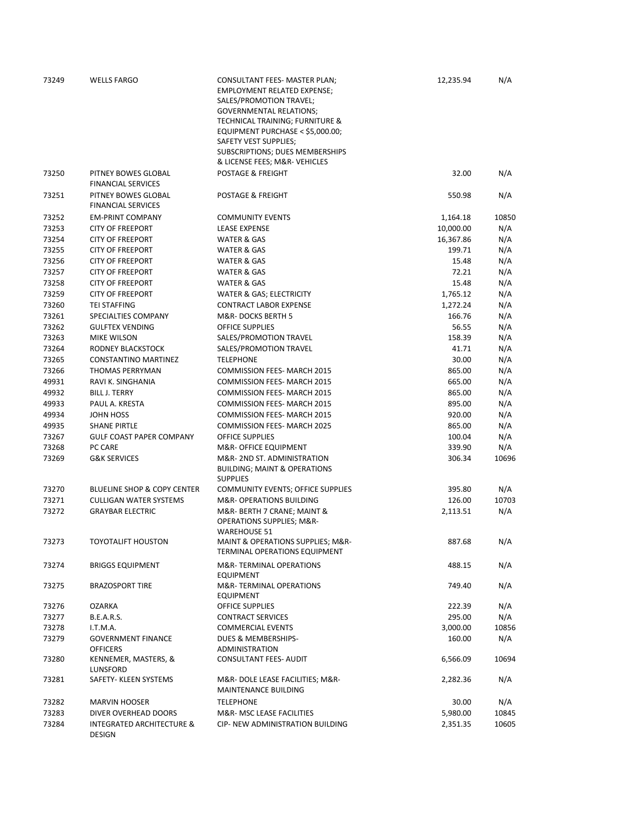| 73249 | <b>WELLS FARGO</b>                                    | CONSULTANT FEES- MASTER PLAN;<br><b>EMPLOYMENT RELATED EXPENSE;</b><br>SALES/PROMOTION TRAVEL;<br><b>GOVERNMENTAL RELATIONS;</b> | 12,235.94 | N/A   |
|-------|-------------------------------------------------------|----------------------------------------------------------------------------------------------------------------------------------|-----------|-------|
|       |                                                       | TECHNICAL TRAINING; FURNITURE &                                                                                                  |           |       |
|       |                                                       | EQUIPMENT PURCHASE < \$5,000.00;<br>SAFETY VEST SUPPLIES;                                                                        |           |       |
|       |                                                       | SUBSCRIPTIONS; DUES MEMBERSHIPS                                                                                                  |           |       |
|       |                                                       | & LICENSE FEES; M&R-VEHICLES                                                                                                     |           |       |
| 73250 | PITNEY BOWES GLOBAL<br><b>FINANCIAL SERVICES</b>      | POSTAGE & FREIGHT                                                                                                                | 32.00     | N/A   |
| 73251 | PITNEY BOWES GLOBAL<br><b>FINANCIAL SERVICES</b>      | <b>POSTAGE &amp; FREIGHT</b>                                                                                                     | 550.98    | N/A   |
| 73252 | <b>EM-PRINT COMPANY</b>                               | <b>COMMUNITY EVENTS</b>                                                                                                          | 1,164.18  | 10850 |
| 73253 | <b>CITY OF FREEPORT</b>                               | <b>LEASE EXPENSE</b>                                                                                                             | 10,000.00 | N/A   |
| 73254 | <b>CITY OF FREEPORT</b>                               | WATER & GAS                                                                                                                      | 16,367.86 | N/A   |
| 73255 | <b>CITY OF FREEPORT</b>                               | WATER & GAS                                                                                                                      | 199.71    | N/A   |
| 73256 | <b>CITY OF FREEPORT</b>                               | WATER & GAS                                                                                                                      | 15.48     | N/A   |
| 73257 | <b>CITY OF FREEPORT</b>                               | WATER & GAS                                                                                                                      | 72.21     | N/A   |
| 73258 | <b>CITY OF FREEPORT</b>                               | WATER & GAS                                                                                                                      | 15.48     | N/A   |
| 73259 | <b>CITY OF FREEPORT</b>                               | WATER & GAS; ELECTRICITY                                                                                                         | 1,765.12  | N/A   |
| 73260 | <b>TEI STAFFING</b>                                   | <b>CONTRACT LABOR EXPENSE</b>                                                                                                    | 1,272.24  | N/A   |
| 73261 | SPECIALTIES COMPANY                                   | M&R-DOCKS BERTH 5                                                                                                                | 166.76    | N/A   |
| 73262 | <b>GULFTEX VENDING</b>                                | <b>OFFICE SUPPLIES</b>                                                                                                           | 56.55     | N/A   |
| 73263 | MIKE WILSON                                           | SALES/PROMOTION TRAVEL                                                                                                           | 158.39    | N/A   |
| 73264 | RODNEY BLACKSTOCK                                     | SALES/PROMOTION TRAVEL                                                                                                           | 41.71     | N/A   |
| 73265 | CONSTANTINO MARTINEZ                                  | <b>TELEPHONE</b>                                                                                                                 | 30.00     | N/A   |
| 73266 | THOMAS PERRYMAN                                       | <b>COMMISSION FEES- MARCH 2015</b>                                                                                               | 865.00    | N/A   |
| 49931 | RAVI K. SINGHANIA                                     | <b>COMMISSION FEES- MARCH 2015</b>                                                                                               | 665.00    | N/A   |
| 49932 | <b>BILL J. TERRY</b>                                  | <b>COMMISSION FEES- MARCH 2015</b>                                                                                               | 865.00    | N/A   |
| 49933 | PAUL A. KRESTA                                        | <b>COMMISSION FEES- MARCH 2015</b>                                                                                               | 895.00    | N/A   |
| 49934 | JOHN HOSS                                             | <b>COMMISSION FEES- MARCH 2015</b>                                                                                               | 920.00    | N/A   |
| 49935 | <b>SHANE PIRTLE</b>                                   | <b>COMMISSION FEES- MARCH 2025</b>                                                                                               | 865.00    | N/A   |
| 73267 | <b>GULF COAST PAPER COMPANY</b>                       | <b>OFFICE SUPPLIES</b>                                                                                                           | 100.04    | N/A   |
| 73268 | PC CARE                                               | M&R- OFFICE EQUIPMENT                                                                                                            | 339.90    | N/A   |
| 73269 | <b>G&amp;K SERVICES</b>                               | M&R-2ND ST. ADMINISTRATION<br><b>BUILDING; MAINT &amp; OPERATIONS</b><br><b>SUPPLIES</b>                                         | 306.34    | 10696 |
| 73270 | <b>BLUELINE SHOP &amp; COPY CENTER</b>                | COMMUNITY EVENTS; OFFICE SUPPLIES                                                                                                | 395.80    | N/A   |
| 73271 | <b>CULLIGAN WATER SYSTEMS</b>                         | M&R- OPERATIONS BUILDING                                                                                                         | 126.00    | 10703 |
| 73272 | <b>GRAYBAR ELECTRIC</b>                               | M&R- BERTH 7 CRANE; MAINT &<br><b>OPERATIONS SUPPLIES; M&amp;R-</b><br><b>WAREHOUSE 51</b>                                       | 2,113.51  | N/A   |
| 73273 | TOYOTALIFT HOUSTON                                    | MAINT & OPERATIONS SUPPLIES; M&R-<br>TERMINAL OPERATIONS EQUIPMENT                                                               | 887.68    | N/A   |
| 73274 | <b>BRIGGS EQUIPMENT</b>                               | M&R-TERMINAL OPERATIONS<br><b>EQUIPMENT</b>                                                                                      | 488.15    | N/A   |
| 73275 | <b>BRAZOSPORT TIRE</b>                                | M&R-TERMINAL OPERATIONS<br><b>EQUIPMENT</b>                                                                                      | 749.40    | N/A   |
| 73276 | OZARKA                                                | <b>OFFICE SUPPLIES</b>                                                                                                           | 222.39    | N/A   |
| 73277 | <b>B.E.A.R.S.</b>                                     | <b>CONTRACT SERVICES</b>                                                                                                         | 295.00    | N/A   |
| 73278 | I.T.M.A.                                              | <b>COMMERCIAL EVENTS</b>                                                                                                         | 3,000.00  | 10856 |
| 73279 | <b>GOVERNMENT FINANCE</b><br><b>OFFICERS</b>          | <b>DUES &amp; MEMBERSHIPS-</b><br><b>ADMINISTRATION</b>                                                                          | 160.00    | N/A   |
| 73280 | KENNEMER, MASTERS, &<br>LUNSFORD                      | <b>CONSULTANT FEES- AUDIT</b>                                                                                                    | 6,566.09  | 10694 |
| 73281 | SAFETY- KLEEN SYSTEMS                                 | M&R-DOLE LEASE FACILITIES; M&R-<br>MAINTENANCE BUILDING                                                                          | 2,282.36  | N/A   |
| 73282 | <b>MARVIN HOOSER</b>                                  | <b>TELEPHONE</b>                                                                                                                 | 30.00     | N/A   |
| 73283 | DIVER OVERHEAD DOORS                                  | M&R- MSC LEASE FACILITIES                                                                                                        | 5,980.00  | 10845 |
| 73284 | <b>INTEGRATED ARCHITECTURE &amp;</b><br><b>DESIGN</b> | CIP- NEW ADMINISTRATION BUILDING                                                                                                 | 2,351.35  | 10605 |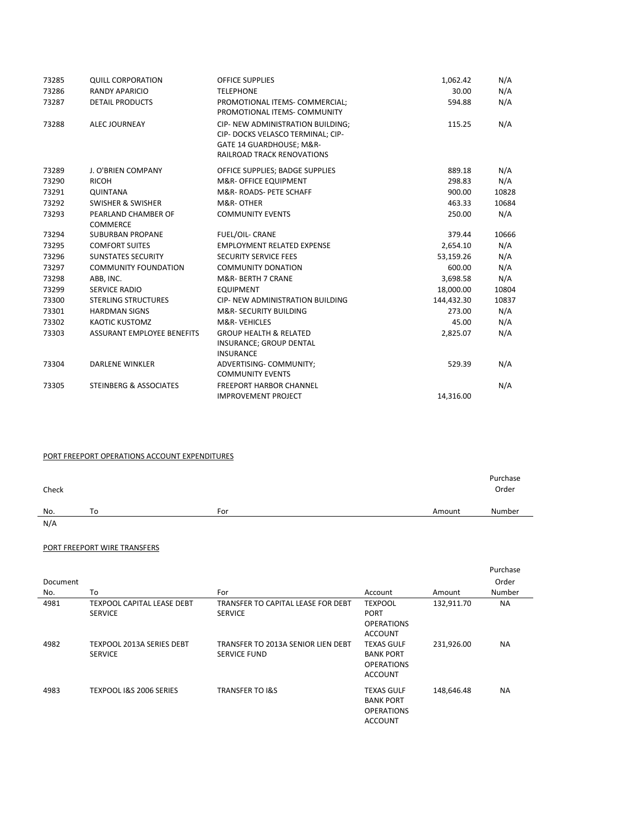| 73285 | <b>QUILL CORPORATION</b>               | <b>OFFICE SUPPLIES</b>                                                                                                           | 1,062.42   | N/A   |
|-------|----------------------------------------|----------------------------------------------------------------------------------------------------------------------------------|------------|-------|
| 73286 | <b>RANDY APARICIO</b>                  | <b>TELEPHONE</b>                                                                                                                 | 30.00      | N/A   |
| 73287 | <b>DETAIL PRODUCTS</b>                 | PROMOTIONAL ITEMS- COMMERCIAL;<br>PROMOTIONAL ITEMS- COMMUNITY                                                                   | 594.88     | N/A   |
| 73288 | <b>ALEC JOURNEAY</b>                   | CIP- NEW ADMINISTRATION BUILDING:<br>CIP- DOCKS VELASCO TERMINAL; CIP-<br>GATE 14 GUARDHOUSE; M&R-<br>RAILROAD TRACK RENOVATIONS | 115.25     | N/A   |
| 73289 | J. O'BRIEN COMPANY                     | OFFICE SUPPLIES; BADGE SUPPLIES                                                                                                  | 889.18     | N/A   |
| 73290 | <b>RICOH</b>                           | <b>M&amp;R- OFFICE EQUIPMENT</b>                                                                                                 | 298.83     | N/A   |
| 73291 | QUINTANA                               | M&R-ROADS-PETE SCHAFF                                                                                                            | 900.00     | 10828 |
| 73292 | <b>SWISHER &amp; SWISHER</b>           | M&R-OTHER                                                                                                                        | 463.33     | 10684 |
| 73293 | PEARLAND CHAMBER OF<br><b>COMMERCE</b> | <b>COMMUNITY EVENTS</b>                                                                                                          | 250.00     | N/A   |
| 73294 | <b>SUBURBAN PROPANE</b>                | <b>FUEL/OIL- CRANE</b>                                                                                                           | 379.44     | 10666 |
| 73295 | <b>COMFORT SUITES</b>                  | <b>EMPLOYMENT RELATED EXPENSE</b>                                                                                                | 2,654.10   | N/A   |
| 73296 | <b>SUNSTATES SECURITY</b>              | <b>SECURITY SERVICE FEES</b>                                                                                                     | 53,159.26  | N/A   |
| 73297 | <b>COMMUNITY FOUNDATION</b>            | <b>COMMUNITY DONATION</b>                                                                                                        | 600.00     | N/A   |
| 73298 | ABB, INC.                              | M&R-BERTH 7 CRANE                                                                                                                | 3,698.58   | N/A   |
| 73299 | <b>SERVICE RADIO</b>                   | <b>EQUIPMENT</b>                                                                                                                 | 18,000.00  | 10804 |
| 73300 | <b>STERLING STRUCTURES</b>             | <b>CIP- NEW ADMINISTRATION BUILDING</b>                                                                                          | 144,432.30 | 10837 |
| 73301 | <b>HARDMAN SIGNS</b>                   | <b>M&amp;R- SECURITY BUILDING</b>                                                                                                | 273.00     | N/A   |
| 73302 | <b>KAOTIC KUSTOMZ</b>                  | <b>M&amp;R-VEHICLES</b>                                                                                                          | 45.00      | N/A   |
| 73303 | <b>ASSURANT EMPLOYEE BENEFITS</b>      | <b>GROUP HEALTH &amp; RELATED</b><br>INSURANCE; GROUP DENTAL<br><b>INSURANCE</b>                                                 | 2,825.07   | N/A   |
| 73304 | <b>DARLENE WINKLER</b>                 | ADVERTISING- COMMUNITY;<br><b>COMMUNITY EVENTS</b>                                                                               | 529.39     | N/A   |
| 73305 | <b>STEINBERG &amp; ASSOCIATES</b>      | <b>FREEPORT HARBOR CHANNEL</b>                                                                                                   |            | N/A   |
|       |                                        | <b>IMPROVEMENT PROJECT</b>                                                                                                       | 14.316.00  |       |

## PORT FREEPORT OPERATIONS ACCOUNT EXPENDITURES

| No.<br>To<br>For<br>N/A | Amount | Number |
|-------------------------|--------|--------|

## PORT FREEPORT WIRE TRANSFERS

|          |                                                     |                                                           |                                                                              |            | Purchase  |
|----------|-----------------------------------------------------|-----------------------------------------------------------|------------------------------------------------------------------------------|------------|-----------|
| Document |                                                     |                                                           |                                                                              |            | Order     |
| No.      | To                                                  | For                                                       | Account                                                                      | Amount     | Number    |
| 4981     | <b>TEXPOOL CAPITAL LEASE DEBT</b><br><b>SERVICE</b> | TRANSFER TO CAPITAL LEASE FOR DEBT<br><b>SERVICE</b>      | <b>TEXPOOL</b><br><b>PORT</b><br><b>OPERATIONS</b><br><b>ACCOUNT</b>         | 132,911.70 | <b>NA</b> |
| 4982     | TEXPOOL 2013A SERIES DEBT<br><b>SERVICE</b>         | TRANSFER TO 2013A SENIOR LIEN DEBT<br><b>SERVICE FUND</b> | <b>TEXAS GULF</b><br><b>BANK PORT</b><br><b>OPERATIONS</b><br><b>ACCOUNT</b> | 231,926.00 | <b>NA</b> |
| 4983     | TEXPOOL I&S 2006 SERIES                             | <b>TRANSFER TO I&amp;S</b>                                | <b>TEXAS GULF</b><br><b>BANK PORT</b><br><b>OPERATIONS</b><br><b>ACCOUNT</b> | 148,646.48 | <b>NA</b> |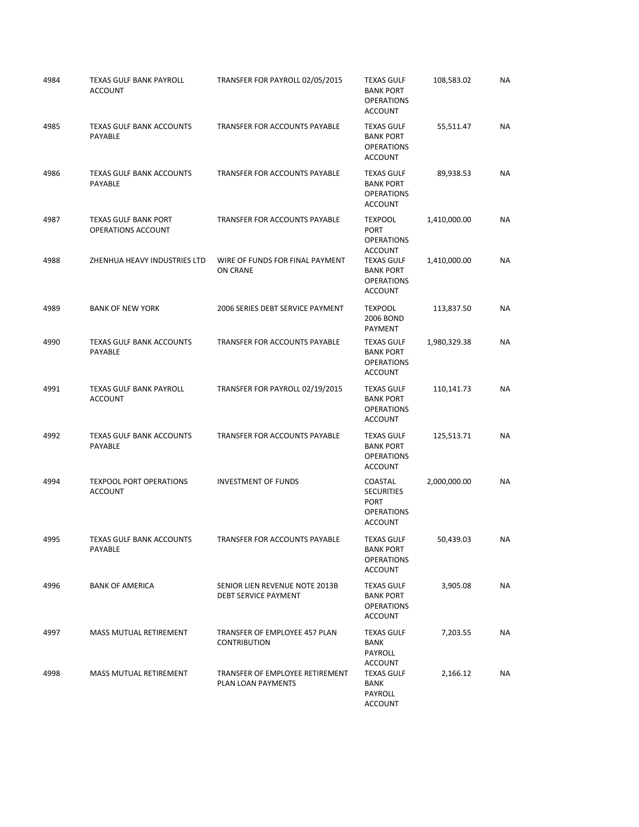| 4984 | TEXAS GULF BANK PAYROLL<br><b>ACCOUNT</b>         | TRANSFER FOR PAYROLL 02/05/2015                        | <b>TEXAS GULF</b><br><b>BANK PORT</b><br><b>OPERATIONS</b><br><b>ACCOUNT</b>       | 108,583.02   | NA        |
|------|---------------------------------------------------|--------------------------------------------------------|------------------------------------------------------------------------------------|--------------|-----------|
| 4985 | <b>TEXAS GULF BANK ACCOUNTS</b><br>PAYABLE        | TRANSFER FOR ACCOUNTS PAYABLE                          | <b>TEXAS GULF</b><br><b>BANK PORT</b><br><b>OPERATIONS</b><br><b>ACCOUNT</b>       | 55,511.47    | NA        |
| 4986 | <b>TEXAS GULF BANK ACCOUNTS</b><br>PAYABLE        | TRANSFER FOR ACCOUNTS PAYABLE                          | <b>TEXAS GULF</b><br><b>BANK PORT</b><br><b>OPERATIONS</b><br><b>ACCOUNT</b>       | 89,938.53    | <b>NA</b> |
| 4987 | <b>TEXAS GULF BANK PORT</b><br>OPERATIONS ACCOUNT | <b>TRANSFER FOR ACCOUNTS PAYABLE</b>                   | <b>TEXPOOL</b><br><b>PORT</b><br><b>OPERATIONS</b><br><b>ACCOUNT</b>               | 1,410,000.00 | NA        |
| 4988 | ZHENHUA HEAVY INDUSTRIES LTD                      | WIRE OF FUNDS FOR FINAL PAYMENT<br>ON CRANE            | <b>TEXAS GULF</b><br><b>BANK PORT</b><br><b>OPERATIONS</b><br><b>ACCOUNT</b>       | 1,410,000.00 | ΝA        |
| 4989 | <b>BANK OF NEW YORK</b>                           | 2006 SERIES DEBT SERVICE PAYMENT                       | <b>TEXPOOL</b><br>2006 BOND<br><b>PAYMENT</b>                                      | 113,837.50   | <b>NA</b> |
| 4990 | TEXAS GULF BANK ACCOUNTS<br>PAYABLE               | TRANSFER FOR ACCOUNTS PAYABLE                          | <b>TEXAS GULF</b><br><b>BANK PORT</b><br><b>OPERATIONS</b><br><b>ACCOUNT</b>       | 1,980,329.38 | ΝA        |
| 4991 | TEXAS GULF BANK PAYROLL<br><b>ACCOUNT</b>         | TRANSFER FOR PAYROLL 02/19/2015                        | <b>TEXAS GULF</b><br><b>BANK PORT</b><br><b>OPERATIONS</b><br><b>ACCOUNT</b>       | 110,141.73   | NA        |
| 4992 | <b>TEXAS GULF BANK ACCOUNTS</b><br>PAYABLE        | TRANSFER FOR ACCOUNTS PAYABLE                          | <b>TEXAS GULF</b><br><b>BANK PORT</b><br><b>OPERATIONS</b><br><b>ACCOUNT</b>       | 125,513.71   | <b>NA</b> |
| 4994 | <b>TEXPOOL PORT OPERATIONS</b><br><b>ACCOUNT</b>  | <b>INVESTMENT OF FUNDS</b>                             | COASTAL<br><b>SECURITIES</b><br><b>PORT</b><br><b>OPERATIONS</b><br><b>ACCOUNT</b> | 2,000,000.00 | ΝA        |
| 4995 | TEXAS GULF BANK ACCOUNTS<br><b>PAYABLE</b>        | TRANSFER FOR ACCOUNTS PAYABLE                          | <b>TEXAS GULF</b><br><b>BANK PORT</b><br><b>OPERATIONS</b><br><b>ACCOUNT</b>       | 50,439.03    | ΝA        |
| 4996 | <b>BANK OF AMERICA</b>                            | SENIOR LIEN REVENUE NOTE 2013B<br>DEBT SERVICE PAYMENT | <b>TEXAS GULF</b><br><b>BANK PORT</b><br><b>OPERATIONS</b><br><b>ACCOUNT</b>       | 3,905.08     | NA        |
| 4997 | MASS MUTUAL RETIREMENT                            | TRANSFER OF EMPLOYEE 457 PLAN<br><b>CONTRIBUTION</b>   | <b>TEXAS GULF</b><br>BANK<br><b>PAYROLL</b>                                        | 7,203.55     | NA        |
| 4998 | MASS MUTUAL RETIREMENT                            | TRANSFER OF EMPLOYEE RETIREMENT<br>PLAN LOAN PAYMENTS  | <b>ACCOUNT</b><br><b>TEXAS GULF</b><br>BANK<br>PAYROLL<br><b>ACCOUNT</b>           | 2,166.12     | NA        |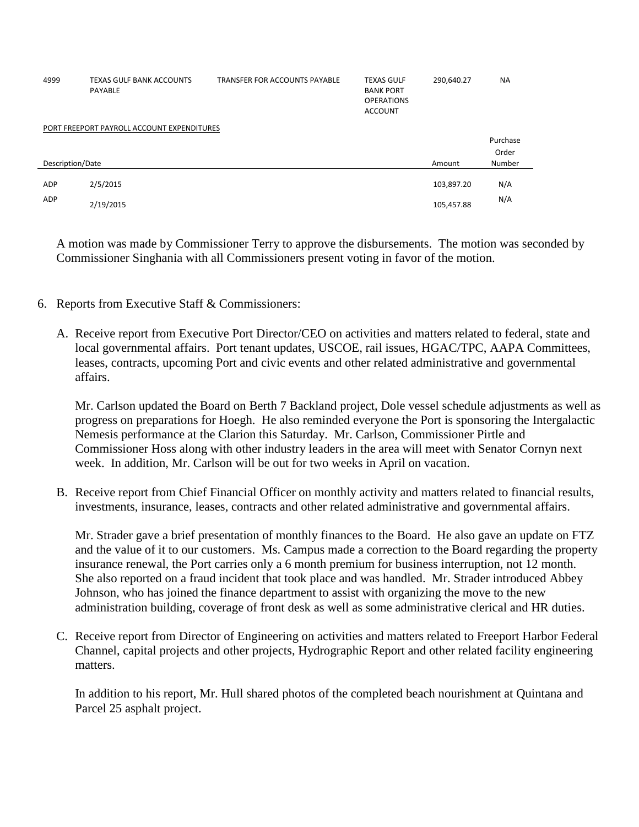| 4999             | <b>TEXAS GULF BANK ACCOUNTS</b><br>PAYABLE | <b>TRANSFER FOR ACCOUNTS PAYABLE</b> | <b>TEXAS GULF</b><br><b>BANK PORT</b><br><b>OPERATIONS</b><br><b>ACCOUNT</b> | 290,640.27 | <b>NA</b> |
|------------------|--------------------------------------------|--------------------------------------|------------------------------------------------------------------------------|------------|-----------|
|                  | PORT FREEPORT PAYROLL ACCOUNT EXPENDITURES |                                      |                                                                              |            |           |
|                  |                                            |                                      |                                                                              |            | Purchase  |
|                  |                                            |                                      |                                                                              |            | Order     |
| Description/Date |                                            |                                      |                                                                              | Amount     | Number    |
| ADP              | 2/5/2015                                   |                                      |                                                                              | 103,897.20 | N/A       |
|                  |                                            |                                      |                                                                              |            |           |
| <b>ADP</b>       | 2/19/2015                                  |                                      |                                                                              | 105,457.88 | N/A       |

A motion was made by Commissioner Terry to approve the disbursements. The motion was seconded by Commissioner Singhania with all Commissioners present voting in favor of the motion.

- 6. Reports from Executive Staff & Commissioners:
	- A. Receive report from Executive Port Director/CEO on activities and matters related to federal, state and local governmental affairs. Port tenant updates, USCOE, rail issues, HGAC/TPC, AAPA Committees, leases, contracts, upcoming Port and civic events and other related administrative and governmental affairs.

Mr. Carlson updated the Board on Berth 7 Backland project, Dole vessel schedule adjustments as well as progress on preparations for Hoegh. He also reminded everyone the Port is sponsoring the Intergalactic Nemesis performance at the Clarion this Saturday. Mr. Carlson, Commissioner Pirtle and Commissioner Hoss along with other industry leaders in the area will meet with Senator Cornyn next week. In addition, Mr. Carlson will be out for two weeks in April on vacation.

B. Receive report from Chief Financial Officer on monthly activity and matters related to financial results, investments, insurance, leases, contracts and other related administrative and governmental affairs.

Mr. Strader gave a brief presentation of monthly finances to the Board. He also gave an update on FTZ and the value of it to our customers. Ms. Campus made a correction to the Board regarding the property insurance renewal, the Port carries only a 6 month premium for business interruption, not 12 month. She also reported on a fraud incident that took place and was handled. Mr. Strader introduced Abbey Johnson, who has joined the finance department to assist with organizing the move to the new administration building, coverage of front desk as well as some administrative clerical and HR duties.

C. Receive report from Director of Engineering on activities and matters related to Freeport Harbor Federal Channel, capital projects and other projects, Hydrographic Report and other related facility engineering matters.

In addition to his report, Mr. Hull shared photos of the completed beach nourishment at Quintana and Parcel 25 asphalt project.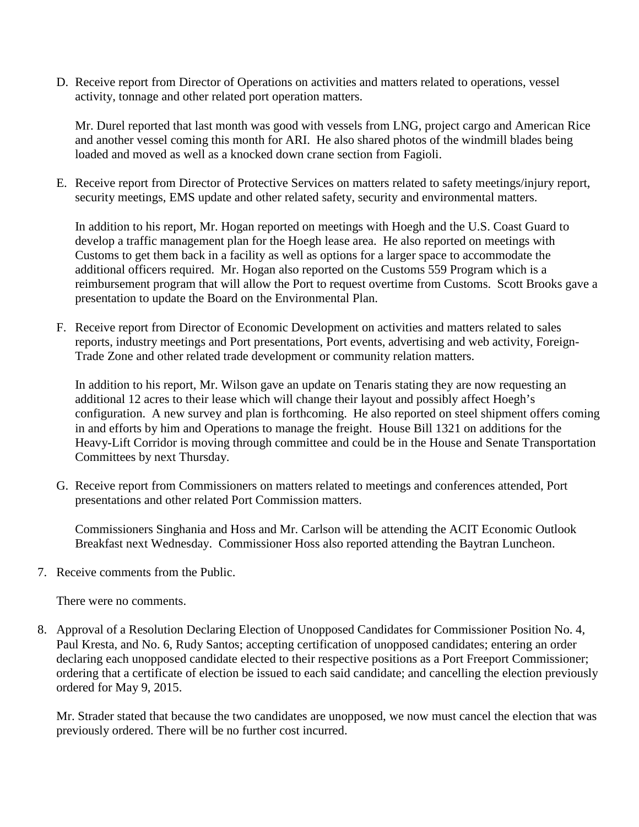D. Receive report from Director of Operations on activities and matters related to operations, vessel activity, tonnage and other related port operation matters.

Mr. Durel reported that last month was good with vessels from LNG, project cargo and American Rice and another vessel coming this month for ARI. He also shared photos of the windmill blades being loaded and moved as well as a knocked down crane section from Fagioli.

E. Receive report from Director of Protective Services on matters related to safety meetings/injury report, security meetings, EMS update and other related safety, security and environmental matters.

In addition to his report, Mr. Hogan reported on meetings with Hoegh and the U.S. Coast Guard to develop a traffic management plan for the Hoegh lease area. He also reported on meetings with Customs to get them back in a facility as well as options for a larger space to accommodate the additional officers required. Mr. Hogan also reported on the Customs 559 Program which is a reimbursement program that will allow the Port to request overtime from Customs. Scott Brooks gave a presentation to update the Board on the Environmental Plan.

F. Receive report from Director of Economic Development on activities and matters related to sales reports, industry meetings and Port presentations, Port events, advertising and web activity, Foreign-Trade Zone and other related trade development or community relation matters.

In addition to his report, Mr. Wilson gave an update on Tenaris stating they are now requesting an additional 12 acres to their lease which will change their layout and possibly affect Hoegh's configuration. A new survey and plan is forthcoming. He also reported on steel shipment offers coming in and efforts by him and Operations to manage the freight. House Bill 1321 on additions for the Heavy-Lift Corridor is moving through committee and could be in the House and Senate Transportation Committees by next Thursday.

G. Receive report from Commissioners on matters related to meetings and conferences attended, Port presentations and other related Port Commission matters.

Commissioners Singhania and Hoss and Mr. Carlson will be attending the ACIT Economic Outlook Breakfast next Wednesday. Commissioner Hoss also reported attending the Baytran Luncheon.

7. Receive comments from the Public.

There were no comments.

8. Approval of a Resolution Declaring Election of Unopposed Candidates for Commissioner Position No. 4, Paul Kresta, and No. 6, Rudy Santos; accepting certification of unopposed candidates; entering an order declaring each unopposed candidate elected to their respective positions as a Port Freeport Commissioner; ordering that a certificate of election be issued to each said candidate; and cancelling the election previously ordered for May 9, 2015.

Mr. Strader stated that because the two candidates are unopposed, we now must cancel the election that was previously ordered. There will be no further cost incurred.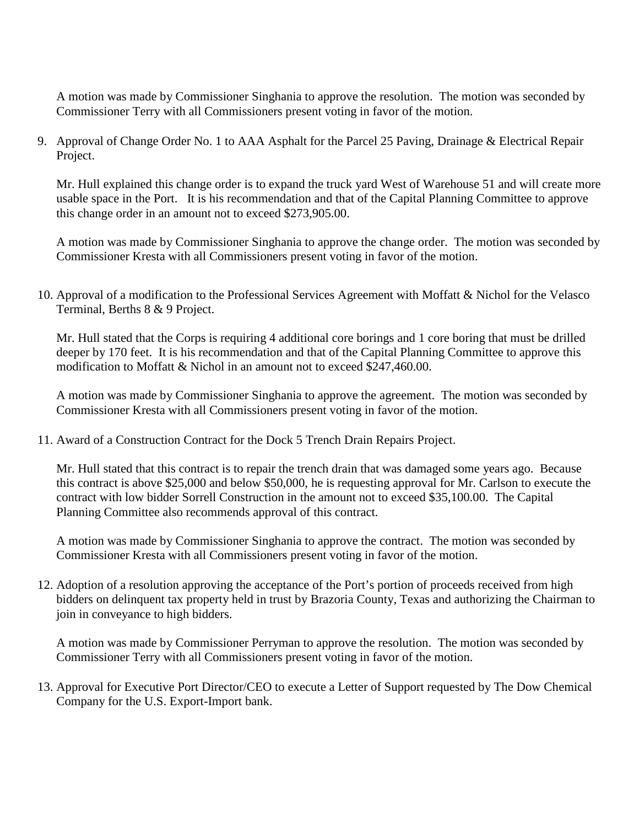A motion was made by Commissioner Singhania to approve the resolution. The motion was seconded by Commissioner Terry with all Commissioners present voting in favor of the motion.

9. Approval of Change Order No. 1 to AAA Asphalt for the Parcel 25 Paving, Drainage & Electrical Repair Project.

Mr. Hull explained this change order is to expand the truck yard West of Warehouse 51 and will create more usable space in the Port. It is his recommendation and that of the Capital Planning Committee to approve this change order in an amount not to exceed \$273,905.00.

A motion was made by Commissioner Singhania to approve the change order. The motion was seconded by Commissioner Kresta with all Commissioners present voting in favor of the motion.

10. Approval of a modification to the Professional Services Agreement with Moffatt & Nichol for the Velasco Terminal, Berths 8 & 9 Project.

Mr. Hull stated that the Corps is requiring 4 additional core borings and 1 core boring that must be drilled deeper by 170 feet. It is his recommendation and that of the Capital Planning Committee to approve this modification to Moffatt & Nichol in an amount not to exceed \$247,460.00.

A motion was made by Commissioner Singhania to approve the agreement. The motion was seconded by Commissioner Kresta with all Commissioners present voting in favor of the motion.

11. Award of a Construction Contract for the Dock 5 Trench Drain Repairs Project.

Mr. Hull stated that this contract is to repair the trench drain that was damaged some years ago. Because this contract is above \$25,000 and below \$50,000, he is requesting approval for Mr. Carlson to execute the contract with low bidder Sorrell Construction in the amount not to exceed \$35,100.00. The Capital Planning Committee also recommends approval of this contract.

A motion was made by Commissioner Singhania to approve the contract. The motion was seconded by Commissioner Kresta with all Commissioners present voting in favor of the motion.

12. Adoption of a resolution approving the acceptance of the Port's portion of proceeds received from high bidders on delinquent tax property held in trust by Brazoria County, Texas and authorizing the Chairman to join in conveyance to high bidders.

A motion was made by Commissioner Perryman to approve the resolution. The motion was seconded by Commissioner Terry with all Commissioners present voting in favor of the motion.

13. Approval for Executive Port Director/CEO to execute a Letter of Support requested by The Dow Chemical Company for the U.S. Export-Import bank.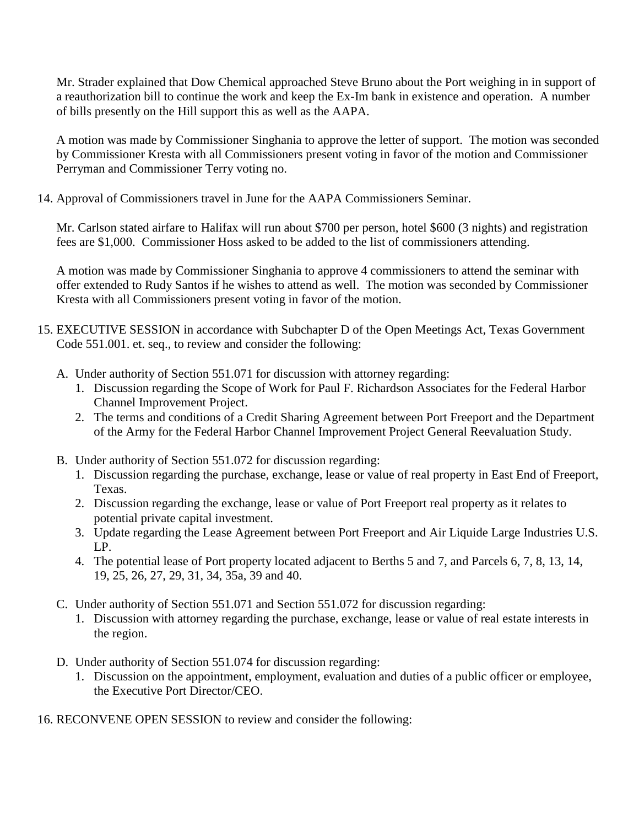Mr. Strader explained that Dow Chemical approached Steve Bruno about the Port weighing in in support of a reauthorization bill to continue the work and keep the Ex-Im bank in existence and operation. A number of bills presently on the Hill support this as well as the AAPA.

A motion was made by Commissioner Singhania to approve the letter of support. The motion was seconded by Commissioner Kresta with all Commissioners present voting in favor of the motion and Commissioner Perryman and Commissioner Terry voting no.

14. Approval of Commissioners travel in June for the AAPA Commissioners Seminar.

Mr. Carlson stated airfare to Halifax will run about \$700 per person, hotel \$600 (3 nights) and registration fees are \$1,000. Commissioner Hoss asked to be added to the list of commissioners attending.

A motion was made by Commissioner Singhania to approve 4 commissioners to attend the seminar with offer extended to Rudy Santos if he wishes to attend as well. The motion was seconded by Commissioner Kresta with all Commissioners present voting in favor of the motion.

- 15. EXECUTIVE SESSION in accordance with Subchapter D of the Open Meetings Act, Texas Government Code 551.001. et. seq., to review and consider the following:
	- A. Under authority of Section 551.071 for discussion with attorney regarding:
		- 1. Discussion regarding the Scope of Work for Paul F. Richardson Associates for the Federal Harbor Channel Improvement Project.
		- 2. The terms and conditions of a Credit Sharing Agreement between Port Freeport and the Department of the Army for the Federal Harbor Channel Improvement Project General Reevaluation Study.
	- B. Under authority of Section 551.072 for discussion regarding:
		- 1. Discussion regarding the purchase, exchange, lease or value of real property in East End of Freeport, Texas.
		- 2. Discussion regarding the exchange, lease or value of Port Freeport real property as it relates to potential private capital investment.
		- 3. Update regarding the Lease Agreement between Port Freeport and Air Liquide Large Industries U.S. LP.
		- 4. The potential lease of Port property located adjacent to Berths 5 and 7, and Parcels 6, 7, 8, 13, 14, 19, 25, 26, 27, 29, 31, 34, 35a, 39 and 40.
	- C. Under authority of Section 551.071 and Section 551.072 for discussion regarding:
		- 1. Discussion with attorney regarding the purchase, exchange, lease or value of real estate interests in the region.
	- D. Under authority of Section 551.074 for discussion regarding:
		- 1. Discussion on the appointment, employment, evaluation and duties of a public officer or employee, the Executive Port Director/CEO.

16. RECONVENE OPEN SESSION to review and consider the following: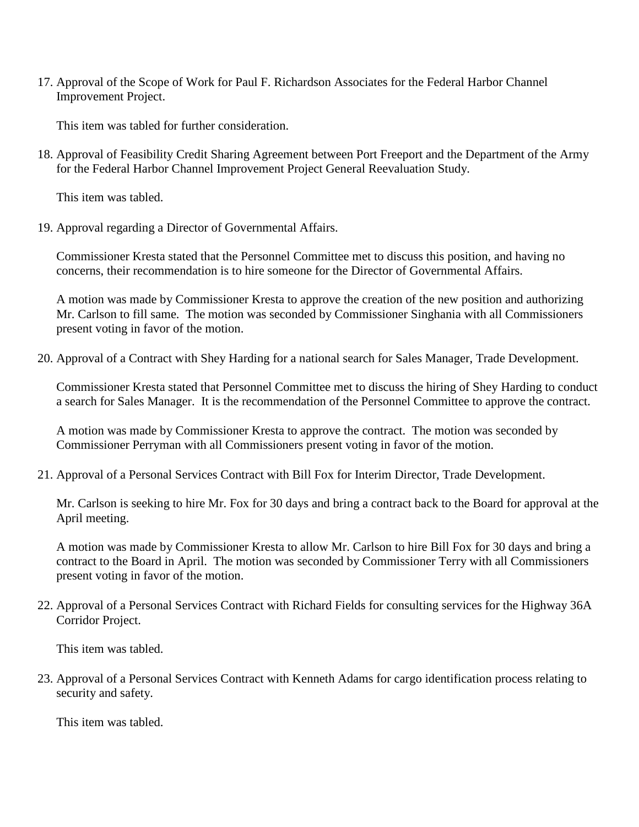17. Approval of the Scope of Work for Paul F. Richardson Associates for the Federal Harbor Channel Improvement Project.

This item was tabled for further consideration.

18. Approval of Feasibility Credit Sharing Agreement between Port Freeport and the Department of the Army for the Federal Harbor Channel Improvement Project General Reevaluation Study.

This item was tabled.

19. Approval regarding a Director of Governmental Affairs.

Commissioner Kresta stated that the Personnel Committee met to discuss this position, and having no concerns, their recommendation is to hire someone for the Director of Governmental Affairs.

A motion was made by Commissioner Kresta to approve the creation of the new position and authorizing Mr. Carlson to fill same. The motion was seconded by Commissioner Singhania with all Commissioners present voting in favor of the motion.

20. Approval of a Contract with Shey Harding for a national search for Sales Manager, Trade Development.

Commissioner Kresta stated that Personnel Committee met to discuss the hiring of Shey Harding to conduct a search for Sales Manager. It is the recommendation of the Personnel Committee to approve the contract.

A motion was made by Commissioner Kresta to approve the contract. The motion was seconded by Commissioner Perryman with all Commissioners present voting in favor of the motion.

21. Approval of a Personal Services Contract with Bill Fox for Interim Director, Trade Development.

Mr. Carlson is seeking to hire Mr. Fox for 30 days and bring a contract back to the Board for approval at the April meeting.

A motion was made by Commissioner Kresta to allow Mr. Carlson to hire Bill Fox for 30 days and bring a contract to the Board in April. The motion was seconded by Commissioner Terry with all Commissioners present voting in favor of the motion.

22. Approval of a Personal Services Contract with Richard Fields for consulting services for the Highway 36A Corridor Project.

This item was tabled.

23. Approval of a Personal Services Contract with Kenneth Adams for cargo identification process relating to security and safety.

This item was tabled.